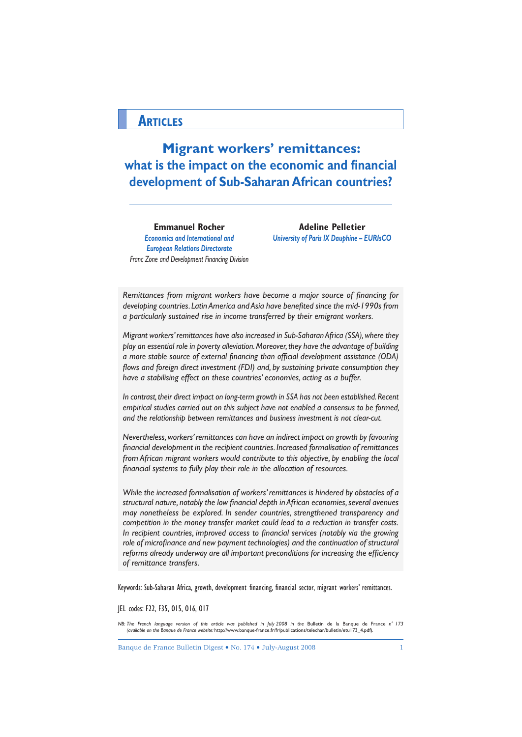## **ARTICLES**

**Migrant workers' remittances:** what is the impact on the economic and financial **development of Sub-Saharan African countries?**

**Emmanuel Rocher**  *Economics and International and European Relations Directorate Franc Zone and Development Financing Division*

**Adeline Pelletier** *University of Paris IX Dauphine – EURIsCO*

*Remittances from migrant workers have become a major source of financing for* developing countries. Latin America and Asia have benefited since the mid-1990s from *a particularly sustained rise in income transferred by their emigrant workers.* 

*Migrant workers' remittances have also increased in Sub-Saharan Africa (SSA), where they play an essential role in poverty alleviation. Moreover, they have the advantage of building a more stable source of external financing than official development assistance (ODA) flows and foreign direct investment (FDI) and, by sustaining private consumption they have a stabilising effect on these countries' economies, acting as a buffer.*

*In contrast, their direct impact on long-term growth in SSA has not been established. Recent empirical studies carried out on this subject have not enabled a consensus to be formed, and the relationship between remittances and business investment is not clear-cut.*

*Nevertheless, workers' remittances can have an indirect impact on growth by favouring*  financial development in the recipient countries. Increased formalisation of remittances *from African migrant workers would contribute to this objective, by enabling the local*  financial systems to fully play their role in the allocation of resources.

*While the increased formalisation of workers' remittances is hindered by obstacles of a*  structural nature, notably the low financial depth in African economies, several avenues *may nonetheless be explored. In sender countries, strengthened transparency and competition in the money transfer market could lead to a reduction in transfer costs. In recipient countries, improved access to financial services (notably via the growing* role of microfinance and new bayment technologies) and the continuation of structural reforms already underway are all important preconditions for increasing the efficiency *of remittance transfers.*

Keywords: Sub-Saharan Africa, growth, development financing, financial sector, migrant workers' remittances.

JEL codes: F22, F35, O15, O16, O17

*NB: The French language version of this article was published in July 2008 in the* Bulletin de la Banque de France *n° 173 (available on the Banque de France website:* http://www.banque-france.fr/fr/publications/telechar/bulletin/etu173\_4.pdf)*.* 

Banque de France Bulletin Digest • No. 174 • July-August 2008 1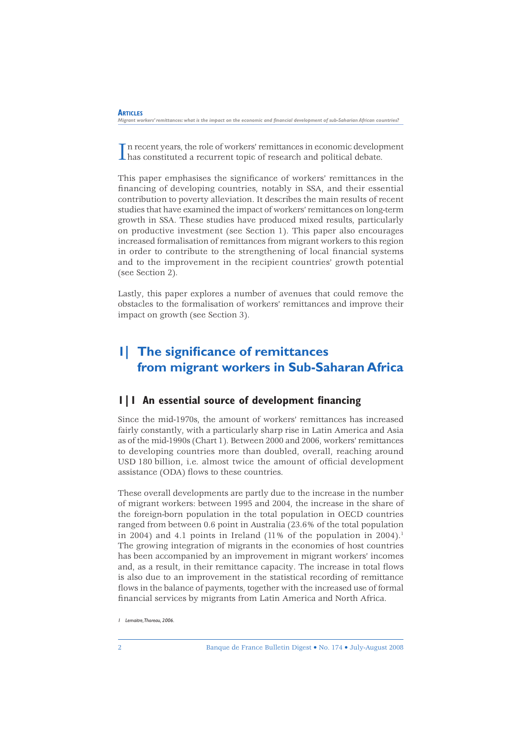In recent years, the role of workers' remittances in economic developsible as constituted a recurrent topic of research and political debate. n recent years, the role of workers' remittances in economic development

This paper emphasises the significance of workers' remittances in the financing of developing countries, notably in SSA, and their essential contribution to poverty alleviation. It describes the main results of recent studies that have examined the impact of workers' remittances on long-term growth in SSA. These studies have produced mixed results, particularly on productive investment (see Section 1). This paper also encourages increased formalisation of remittances from migrant workers to this region in order to contribute to the strengthening of local financial systems and to the improvement in the recipient countries' growth potential (see Section 2).

Lastly, this paper explores a number of avenues that could remove the obstacles to the formalisation of workers' remittances and improve their impact on growth (see Section 3).

# **1| The significance of remittances from migrant workers in Sub-Saharan Africa**

## **1|1 An essential source of development financing**

Since the mid-1970s, the amount of workers' remittances has increased fairly constantly, with a particularly sharp rise in Latin America and Asia as of the mid-1990s (Chart 1). Between 2000 and 2006, workers' remittances to developing countries more than doubled, overall, reaching around USD 180 billion, i.e. almost twice the amount of official development assistance (ODA) flows to these countries.

These overall developments are partly due to the increase in the number of migrant workers: between 1995 and 2004, the increase in the share of the foreign-born population in the total population in OECD countries ranged from between 0.6 point in Australia (23.6% of the total population in 2004) and 4.1 points in Ireland  $(11\%$  of the population in 2004).<sup>1</sup> The growing integration of migrants in the economies of host countries has been accompanied by an improvement in migrant workers' incomes and, as a result, in their remittance capacity. The increase in total flows is also due to an improvement in the statistical recording of remittance flows in the balance of payments, together with the increased use of formal financial services by migrants from Latin America and North Africa.

*<sup>1</sup> Lemaitre, Thoreau, 2006.*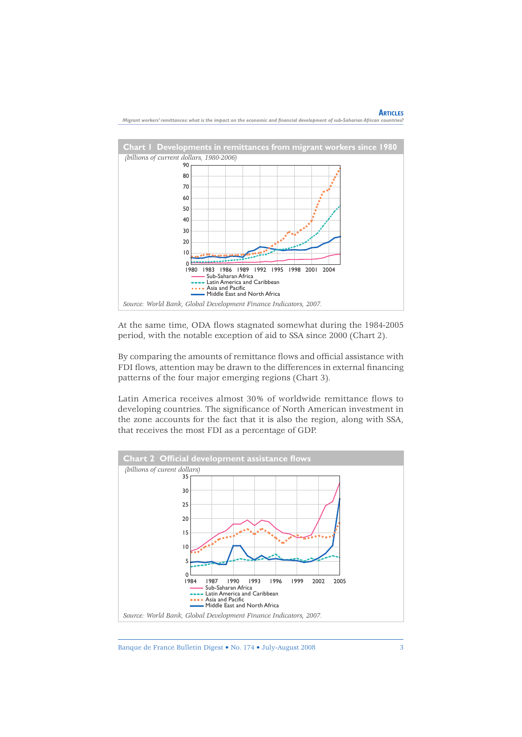

At the same time, ODA flows stagnated somewhat during the 1984-2005 period, with the notable exception of aid to SSA since 2000 (Chart 2).

By comparing the amounts of remittance flows and official assistance with FDI flows, attention may be drawn to the differences in external financing patterns of the four major emerging regions (Chart 3).

Latin America receives almost 30% of worldwide remittance flows to developing countries. The significance of North American investment in the zone accounts for the fact that it is also the region, along with SSA, that receives the most FDI as a percentage of GDP.



Banque de France Bulletin Digest • No. 174 • July-August 2008 3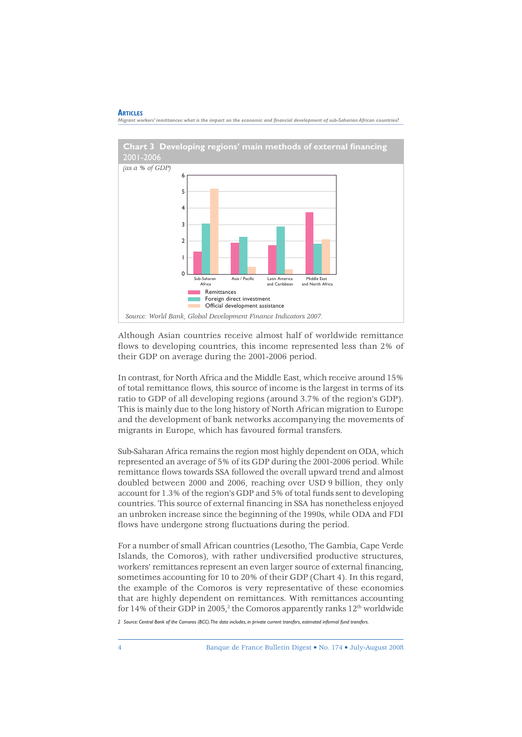

*Migrant workers' remittances: what is the impact on the economic and financial development of sub-Saharian African countries?* 

Although Asian countries receive almost half of worldwide remittance flows to developing countries, this income represented less than 2% of their GDP on average during the 2001-2006 period.

In contrast, for North Africa and the Middle East, which receive around 15% of total remittance flows, this source of income is the largest in terms of its ratio to GDP of all developing regions (around 3.7% of the region's GDP). This is mainly due to the long history of North African migration to Europe and the development of bank networks accompanying the movements of migrants in Europe, which has favoured formal transfers.

Sub-Saharan Africa remains the region most highly dependent on ODA, which represented an average of 5% of its GDP during the 2001-2006 period. While remittance flows towards SSA followed the overall upward trend and almost doubled between 2000 and 2006, reaching over USD 9 billion, they only account for 1.3% of the region's GDP and 5% of total funds sent to developing countries. This source of external financing in SSA has nonetheless enjoyed an unbroken increase since the beginning of the 1990s, while ODA and FDI flows have undergone strong fluctuations during the period.

For a number of small African countries (Lesotho, The Gambia, Cape Verde Islands, the Comoros), with rather undiversified productive structures, workers' remittances represent an even larger source of external financing, sometimes accounting for 10 to 20% of their GDP (Chart 4). In this regard, the example of the Comoros is very representative of these economies that are highly dependent on remittances. With remittances accounting for 14% of their GDP in 2005,<sup>2</sup> the Comoros apparently ranks  $12<sup>th</sup>$  worldwide

 *2 Source: Central Bank of the Comoros (BCC). The data includes, in private current transfers, estimated informal fund transfers.*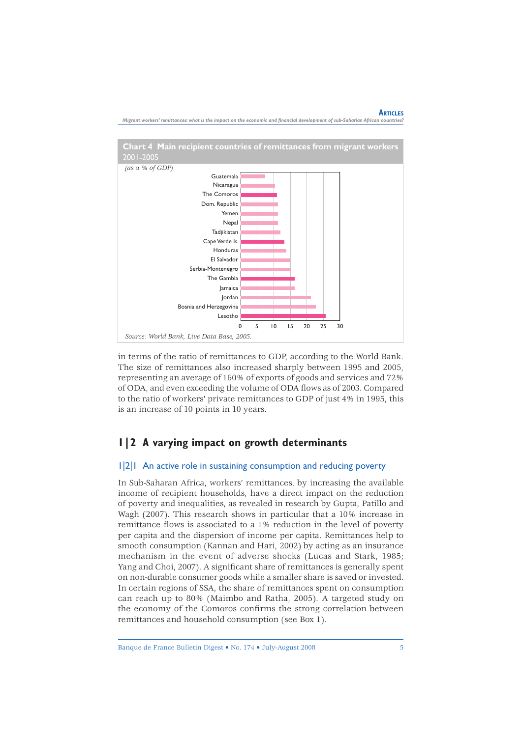

*Migrant workers' remittances: what is the impact on the economic and fi nancial development of sub-Saharian African countries?*

in terms of the ratio of remittances to GDP, according to the World Bank. The size of remittances also increased sharply between 1995 and 2005, representing an average of 160% of exports of goods and services and 72% of ODA, and even exceeding the volume of ODA flows as of 2003. Compared to the ratio of workers' private remittances to GDP of just 4% in 1995, this is an increase of 10 points in 10 years.

## **1|2 A varying impact on growth determinants**

#### 1|2|1 An active role in sustaining consumption and reducing poverty

In Sub-Saharan Africa, workers' remittances, by increasing the available income of recipient households, have a direct impact on the reduction of poverty and inequalities, as revealed in research by Gupta, Patillo and Wagh (2007). This research shows in particular that a 10% increase in remittance flows is associated to a  $1\%$  reduction in the level of poverty per capita and the dispersion of income per capita. Remittances help to smooth consumption (Kannan and Hari, 2002) by acting as an insurance mechanism in the event of adverse shocks (Lucas and Stark, 1985; Yang and Choi, 2007). A significant share of remittances is generally spent on non-durable consumer goods while a smaller share is saved or invested. In certain regions of SSA, the share of remittances spent on consumption can reach up to 80% (Maimbo and Ratha, 2005). A targeted study on the economy of the Comoros confirms the strong correlation between remittances and household consumption (see Box 1).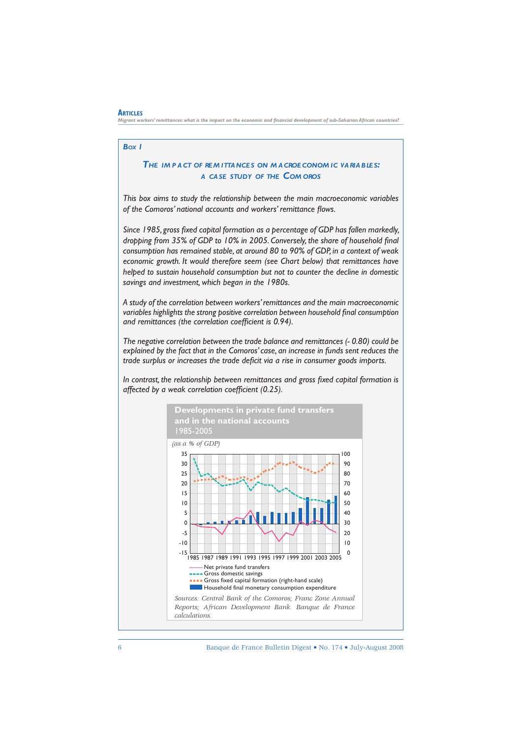#### *BOX 1*

**ARTICLES**

### *THE IM P A CT OF RE M ITTA NCE S ON M A CROE CONOM IC VA RIA B LE S: A CA SE STUDY OF THE COM OROS*

*This box aims to study the relationship between the main macroeconomic variables*  of the Comoros' national accounts and workers' remittance flows.

*Since 1985, gross fi xed capital formation as a percentage of GDP has fallen markedly, dropping from 35% of GDP to 10% in 2005. Conversely, the share of household final consumption has remained stable, at around 80 to 90% of GDP, in a context of weak economic growth. It would therefore seem (see Chart below) that remittances have helped to sustain household consumption but not to counter the decline in domestic savings and investment, which began in the 1980s.*

*A study of the correlation between workers' remittances and the main macroeconomic variables highlights the strong positive correlation between household final consumption* and remittances (the correlation coefficient is 0.94).

*The negative correlation between the trade balance and remittances (- 0.80) could be explained by the fact that in the Comoros' case, an increase in funds sent reduces the trade surplus or increases the trade deficit via a rise in consumer goods imports.* 

In contrast, the relationship between remittances and gross fixed capital formation is *affected by a weak correlation coefficient (0.25).* 

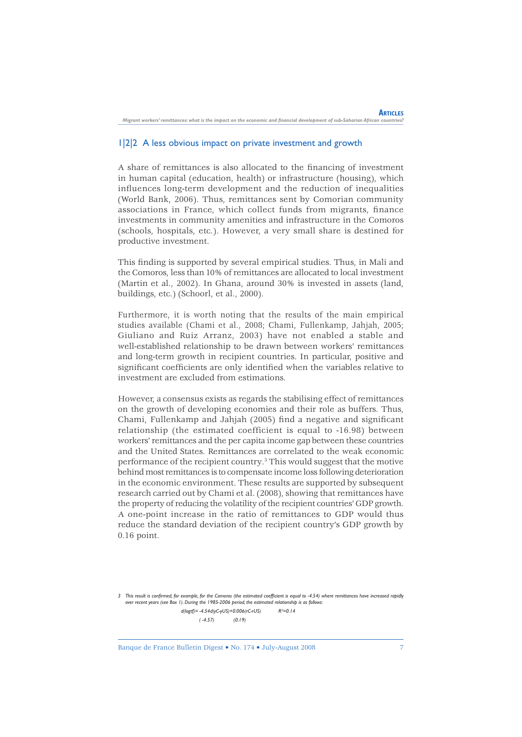#### 1|2|2 A less obvious impact on private investment and growth

A share of remittances is also allocated to the financing of investment in human capital (education, health) or infrastructure (housing), which influences long-term development and the reduction of inequalities (World Bank, 2006). Thus, remittances sent by Comorian community associations in France, which collect funds from migrants, finance investments in community amenities and infrastructure in the Comoros (schools, hospitals, etc.). However, a very small share is destined for productive investment.

This finding is supported by several empirical studies. Thus, in Mali and the Comoros, less than 10% of remittances are allocated to local investment (Martin et al., 2002). In Ghana, around 30% is invested in assets (land, buildings, etc.) (Schoorl, et al., 2000).

Furthermore, it is worth noting that the results of the main empirical studies available (Chami et al., 2008; Chami, Fullenkamp, Jahjah, 2005; Giuliano and Ruiz Arranz, 2003) have not enabled a stable and well-established relationship to be drawn between workers' remittances and long-term growth in recipient countries. In particular, positive and significant coefficients are only identified when the variables relative to investment are excluded from estimations.

However, a consensus exists as regards the stabilising effect of remittances on the growth of developing economies and their role as buffers. Thus, Chami, Fullenkamp and Jahjah (2005) find a negative and significant relationship (the estimated coefficient is equal to -16.98) between workers' remittances and the per capita income gap between these countries and the United States. Remittances are correlated to the weak economic performance of the recipient country.3 This would suggest that the motive behind most remittances is to compensate income loss following deterioration in the economic environment. These results are supported by subsequent research carried out by Chami et al. (2008), showing that remittances have the property of reducing the volatility of the recipient countries' GDP growth. A one-point increase in the ratio of remittances to GDP would thus reduce the standard deviation of the recipient country's GDP growth by 0.16 point.

3 This result is confirmed, for example, for the Comoros (the estimated coefficient is equal to -4.54) where remittances have increased rapidly *over recent years (see Box 1). During the 1985-2006 period, the estimated relationship is as follows: d(logtf)= -4.54d(yC-yUS)+0.006(rC-rUS) R²=0.14 ( -4.57) (0.19)*

Banque de France Bulletin Digest • No. 174 • July-August 2008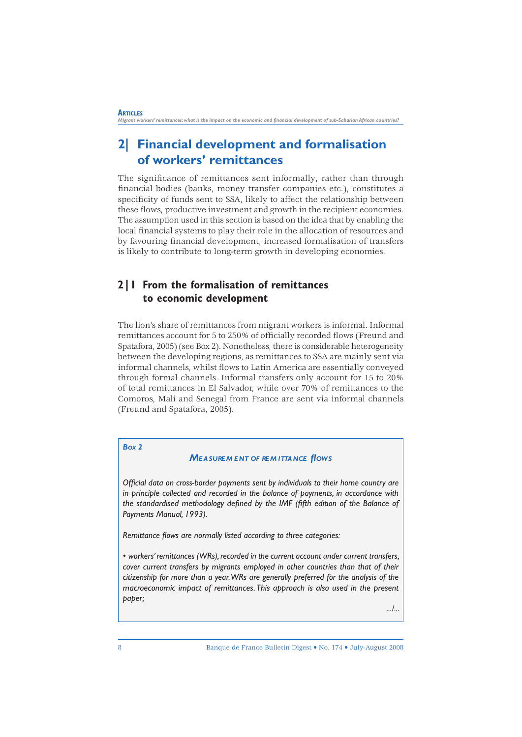# **2| Financial development and formalisation of workers' remittances**

The significance of remittances sent informally, rather than through financial bodies (banks, money transfer companies etc.), constitutes a specificity of funds sent to SSA, likely to affect the relationship between these flows, productive investment and growth in the recipient economies. The assumption used in this section is based on the idea that by enabling the local financial systems to play their role in the allocation of resources and by favouring financial development, increased formalisation of transfers is likely to contribute to long-term growth in developing economies.

## **2|1 From the formalisation of remittances to economic development**

The lion's share of remittances from migrant workers is informal. Informal remittances account for 5 to 250% of officially recorded flows (Freund and Spatafora, 2005) (see Box 2). Nonetheless, there is considerable heterogeneity between the developing regions, as remittances to SSA are mainly sent via informal channels, whilst flows to Latin America are essentially conveyed through formal channels. Informal transfers only account for 15 to 20% of total remittances in El Salvador, while over 70% of remittances to the Comoros, Mali and Senegal from France are sent via informal channels (Freund and Spatafora, 2005).

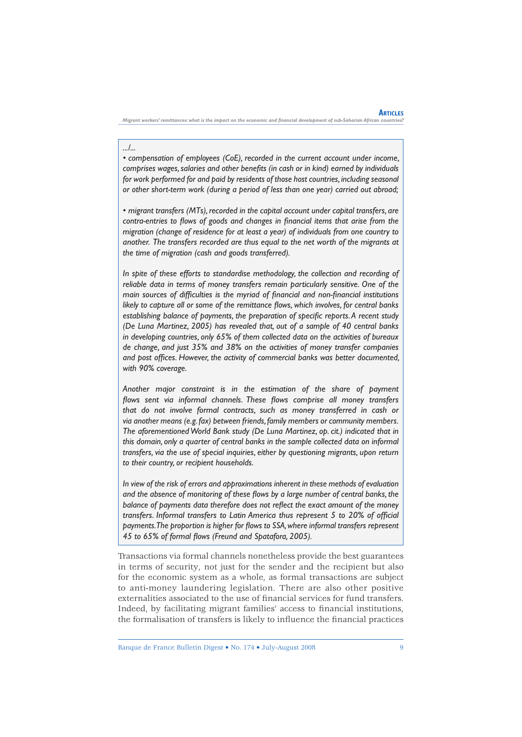*Migrant workers' remittances: what is the impact on the economic and fi nancial development of sub-Saharian African countries?*

*.../...*

*• compensation of employees (CoE), recorded in the current account under income,*  comprises wages, salaries and other benefits (in cash or in kind) earned by individuals *for work performed for and paid by residents of those host countries, including seasonal or other short-term work (during a period of less than one year) carried out abroad;*

*• migrant transfers (MTs), recorded in the capital account under capital transfers, are*  contra-entries to flows of goods and changes in financial items that arise from the *migration (change of residence for at least a year) of individuals from one country to another. The transfers recorded are thus equal to the net worth of the migrants at the time of migration (cash and goods transferred).*

*In spite of these efforts to standardise methodology, the collection and recording of reliable data in terms of money transfers remain particularly sensitive. One of the*  main sources of difficulties is the myriad of financial and non-financial institutions *likely to capture all or some of the remittance flows, which involves, for central banks* establishing balance of payments, the preparation of specific reports. A recent study *(De Luna Martinez, 2005) has revealed that, out of a sample of 40 central banks in developing countries, only 65% of them collected data on the activities of bureaux de change, and just 35% and 38% on the activities of money transfer companies*  and post offices. However, the activity of commercial banks was better documented, *with 90% coverage.*

*Another major constraint is in the estimation of the share of payment*  flows sent via informal channels. These flows comprise all money transfers *that do not involve formal contracts, such as money transferred in cash or via another means (e.g. fax) between friends, family members or community members. The aforementioned World Bank study (De Luna Martinez, op. cit.) indicated that in this domain, only a quarter of central banks in the sample collected data on informal transfers, via the use of special inquiries, either by questioning migrants, upon return to their country, or recipient households.* 

*In view of the risk of errors and approximations inherent in these methods of evaluation*  and the absence of monitoring of these flows by a large number of central banks, the balance of payments data therefore does not reflect the exact amount of the money *transfers. Informal transfers to Latin America thus represent 5 to 20% of official payments. The proportion is higher for fl ows to SSA, where informal transfers represent 45 to 65% of formal fl ows (Freund and Spatafora, 2005).*

Transactions via formal channels nonetheless provide the best guarantees in terms of security, not just for the sender and the recipient but also for the economic system as a whole, as formal transactions are subject to anti-money laundering legislation. There are also other positive externalities associated to the use of financial services for fund transfers. Indeed, by facilitating migrant families' access to financial institutions, the formalisation of transfers is likely to influence the financial practices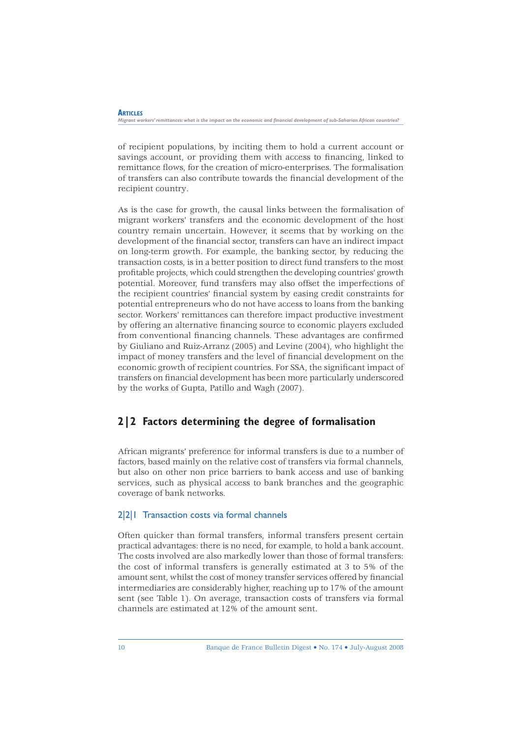of recipient populations, by inciting them to hold a current account or savings account, or providing them with access to financing, linked to remittance flows, for the creation of micro-enterprises. The formalisation of transfers can also contribute towards the financial development of the recipient country.

As is the case for growth, the causal links between the formalisation of migrant workers' transfers and the economic development of the host country remain uncertain. However, it seems that by working on the development of the financial sector, transfers can have an indirect impact on long-term growth. For example, the banking sector, by reducing the transaction costs, is in a better position to direct fund transfers to the most profi table projects, which could strengthen the developing countries' growth potential. Moreover, fund transfers may also offset the imperfections of the recipient countries' financial system by easing credit constraints for potential entrepreneurs who do not have access to loans from the banking sector. Workers' remittances can therefore impact productive investment by offering an alternative financing source to economic players excluded from conventional financing channels. These advantages are confirmed by Giuliano and Ruiz-Arranz (2005) and Levine (2004), who highlight the impact of money transfers and the level of financial development on the economic growth of recipient countries. For SSA, the significant impact of transfers on financial development has been more particularly underscored by the works of Gupta, Patillo and Wagh (2007).

## **2|2 Factors determining the degree of formalisation**

African migrants' preference for informal transfers is due to a number of factors, based mainly on the relative cost of transfers via formal channels, but also on other non price barriers to bank access and use of banking services, such as physical access to bank branches and the geographic coverage of bank networks.

## 2|2|1 Transaction costs via formal channels

Often quicker than formal transfers, informal transfers present certain practical advantages: there is no need, for example, to hold a bank account. The costs involved are also markedly lower than those of formal transfers: the cost of informal transfers is generally estimated at 3 to 5% of the amount sent, whilst the cost of money transfer services offered by financial intermediaries are considerably higher, reaching up to 17% of the amount sent (see Table 1). On average, transaction costs of transfers via formal channels are estimated at 12% of the amount sent.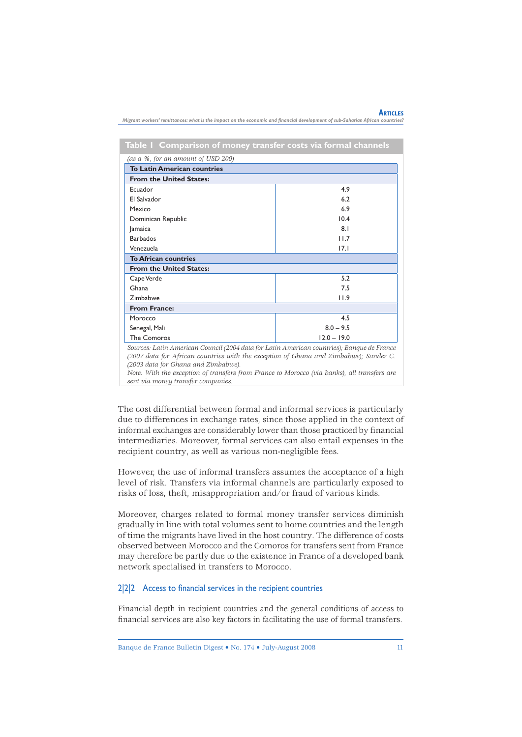|                                                                                                                               |  |  | <b>ARTICLES</b> |
|-------------------------------------------------------------------------------------------------------------------------------|--|--|-----------------|
| Migrant workers' remittances: what is the impact on the economic and financial development of sub-Saharian African countries? |  |  |                 |

**Table 1 Comparison of money transfer costs via formal channels**

| (as a %, for an amount of USD 200)                                                         |               |  |  |  |  |  |
|--------------------------------------------------------------------------------------------|---------------|--|--|--|--|--|
| <b>To Latin American countries</b>                                                         |               |  |  |  |  |  |
| <b>From the United States:</b>                                                             |               |  |  |  |  |  |
| Ecuador                                                                                    | 4.9           |  |  |  |  |  |
| El Salvador                                                                                | 6.2           |  |  |  |  |  |
| Mexico                                                                                     | 6.9           |  |  |  |  |  |
| Dominican Republic                                                                         | 10.4          |  |  |  |  |  |
| Jamaica                                                                                    | 8.1           |  |  |  |  |  |
| <b>Barbados</b>                                                                            | 11.7          |  |  |  |  |  |
| Venezuela                                                                                  | 17.1          |  |  |  |  |  |
| <b>To African countries</b>                                                                |               |  |  |  |  |  |
| <b>From the United States:</b>                                                             |               |  |  |  |  |  |
| Cape Verde                                                                                 | 5.2           |  |  |  |  |  |
| Ghana                                                                                      | 7.5           |  |  |  |  |  |
| Zimbabwe                                                                                   | 11.9          |  |  |  |  |  |
| <b>From France:</b>                                                                        |               |  |  |  |  |  |
| Morocco                                                                                    | 4.5           |  |  |  |  |  |
| Senegal, Mali                                                                              | $8.0 - 9.5$   |  |  |  |  |  |
| <b>The Comoros</b>                                                                         | $12.0 - 19.0$ |  |  |  |  |  |
| Sources, Latin American Council (2004 data for Latin American countries). Banque de France |               |  |  |  |  |  |

*Sources: Latin American Council (2004 data for Latin American countries); Banque de France (2007 data for African countries with the exception of Ghana and Zimbabwe); Sander C. (2003 data for Ghana and Zimbabwe).*

*Note: With the exception of transfers from France to Morocco (via banks), all transfers are sent via money transfer companies.*

The cost differential between formal and informal services is particularly due to differences in exchange rates, since those applied in the context of informal exchanges are considerably lower than those practiced by financial intermediaries. Moreover, formal services can also entail expenses in the recipient country, as well as various non-negligible fees.

However, the use of informal transfers assumes the acceptance of a high level of risk. Transfers via informal channels are particularly exposed to risks of loss, theft, misappropriation and/or fraud of various kinds.

Moreover, charges related to formal money transfer services diminish gradually in line with total volumes sent to home countries and the length of time the migrants have lived in the host country. The difference of costs observed between Morocco and the Comoros for transfers sent from France may therefore be partly due to the existence in France of a developed bank network specialised in transfers to Morocco.

#### $2|2|2$  Access to financial services in the recipient countries

Financial depth in recipient countries and the general conditions of access to financial services are also key factors in facilitating the use of formal transfers.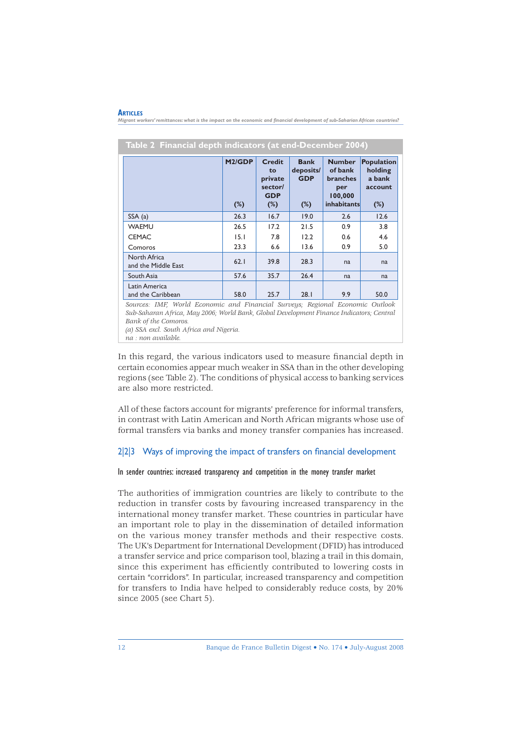#### **ARTICLES**

- **Migrant workers' remittances: what is** the impact on the economic and financial development of sub-Saharian African countries?<br>Migrant workers' remittances: what is the impact on the economic and financial development o

|                                     | M <sub>2</sub> /GDP<br>$(\%)$ | <b>Credit</b><br>to<br>private<br>sector/<br><b>GDP</b><br>$(\%)$ | <b>Bank</b><br>deposits/<br><b>GDP</b><br>$(\%)$ | <b>Number</b><br>of bank<br>branches<br>per<br>100,000<br>inhabitants | <b>Population</b><br>holding<br>a bank<br>account<br>$(\%)$ |  |  |  |
|-------------------------------------|-------------------------------|-------------------------------------------------------------------|--------------------------------------------------|-----------------------------------------------------------------------|-------------------------------------------------------------|--|--|--|
| SSA(a)                              | 26.3                          | 16.7                                                              | 19.0                                             | 2.6                                                                   | 12.6                                                        |  |  |  |
| <b>WAEMU</b>                        | 26.5                          | 17.2                                                              | 21.5                                             | 0.9                                                                   | 3.8                                                         |  |  |  |
| <b>CEMAC</b>                        | 15.1                          | 7.8                                                               | 12.2                                             | 0.6                                                                   | 4.6                                                         |  |  |  |
| Comoros                             | 23.3                          | 6.6                                                               | 13.6                                             | 0.9                                                                   | 5.0                                                         |  |  |  |
| North Africa<br>and the Middle East | 62.1                          | 39.8                                                              | 28.3                                             | na                                                                    | na                                                          |  |  |  |
| South Asia                          | 57.6                          | 35.7                                                              | 26.4                                             | na                                                                    | na                                                          |  |  |  |
| Latin America<br>and the Caribbean  | 58.0                          | 25.7                                                              | 28.1                                             | 9.9                                                                   | 50.0                                                        |  |  |  |

## **Table 2 Financial depth indicators (at end-December 2004)**

*Sources: IMF, World Economic and Financial Surveys; Regional Economic Outlook Sub-Saharan Africa, May 2006; World Bank, Global Development Finance Indicators; Central Bank of the Comoros.*

*(a) SSA excl. South Africa and Nigeria.* 

*na : non available.*

In this regard, the various indicators used to measure financial depth in certain economies appear much weaker in SSA than in the other developing regions (see Table 2). The conditions of physical access to banking services are also more restricted.

All of these factors account for migrants' preference for informal transfers, in contrast with Latin American and North African migrants whose use of formal transfers via banks and money transfer companies has increased.

#### 2|2|3 Ways of improving the impact of transfers on financial development

#### In sender countries: increased transparency and competition in the money transfer market

The authorities of immigration countries are likely to contribute to the reduction in transfer costs by favouring increased transparency in the international money transfer market. These countries in particular have an important role to play in the dissemination of detailed information on the various money transfer methods and their respective costs. The UK's Department for International Development (DFID) has introduced a transfer service and price comparison tool, blazing a trail in this domain, since this experiment has efficiently contributed to lowering costs in certain "corridors". In particular, increased transparency and competition for transfers to India have helped to considerably reduce costs, by 20% since 2005 (see Chart 5).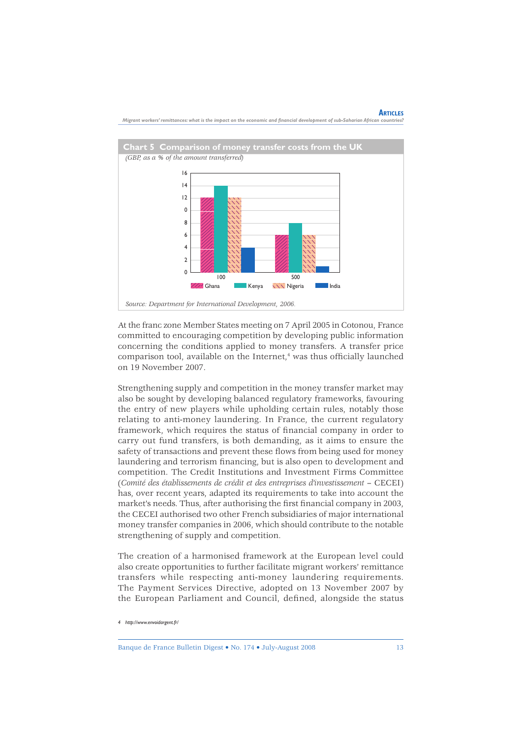

**ARTICLES** *Migrant workers' remittances: what is the impact on the economic and fi nancial development of sub-Saharian African countries?*

At the franc zone Member States meeting on 7 April 2005 in Cotonou, France committed to encouraging competition by developing public information concerning the conditions applied to money transfers. A transfer price comparison tool, available on the Internet,<sup>4</sup> was thus officially launched on 19 November 2007.

Strengthening supply and competition in the money transfer market may also be sought by developing balanced regulatory frameworks, favouring the entry of new players while upholding certain rules, notably those relating to anti-money laundering. In France, the current regulatory framework, which requires the status of financial company in order to carry out fund transfers, is both demanding, as it aims to ensure the safety of transactions and prevent these flows from being used for money laundering and terrorism financing, but is also open to development and competition. The Credit Institutions and Investment Firms Committee (Comité des établissements de crédit et des entreprises d'investissement - CECEI) has, over recent years, adapted its requirements to take into account the market's needs. Thus, after authorising the first financial company in 2003, the CECEI authorised two other French subsidiaries of major international money transfer companies in 2006, which should contribute to the notable strengthening of supply and competition.

The creation of a harmonised framework at the European level could also create opportunities to further facilitate migrant workers' remittance transfers while respecting anti-money laundering requirements. The Payment Services Directive, adopted on 13 November 2007 by the European Parliament and Council, defined, alongside the status

Banque de France Bulletin Digest • No. 174 • July-August 2008 13

*<sup>4</sup> http://www.envoidargent.fr/*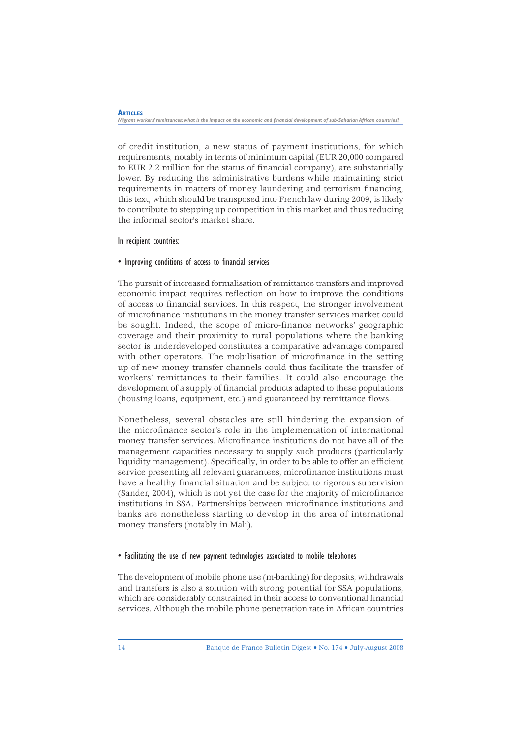#### *Migrant workers' remittances: what is the impact on the economic and financial development of sub-Saharian African countries?*

of credit institution, a new status of payment institutions, for which requirements, notably in terms of minimum capital (EUR 20,000 compared to EUR 2.2 million for the status of financial company), are substantially lower. By reducing the administrative burdens while maintaining strict requirements in matters of money laundering and terrorism financing, this text, which should be transposed into French law during 2009, is likely to contribute to stepping up competition in this market and thus reducing the informal sector's market share.

#### In recipient countries:

**ARTICLES** 

#### • Improving conditions of access to financial services

The pursuit of increased formalisation of remittance transfers and improved economic impact requires reflection on how to improve the conditions of access to fi nancial services. In this respect, the stronger involvement of microfinance institutions in the money transfer services market could be sought. Indeed, the scope of micro-finance networks' geographic coverage and their proximity to rural populations where the banking sector is underdeveloped constitutes a comparative advantage compared with other operators. The mobilisation of microfinance in the setting up of new money transfer channels could thus facilitate the transfer of workers' remittances to their families. It could also encourage the development of a supply of financial products adapted to these populations (housing loans, equipment, etc.) and guaranteed by remittance flows.

Nonetheless, several obstacles are still hindering the expansion of the microfinance sector's role in the implementation of international money transfer services. Microfinance institutions do not have all of the management capacities necessary to supply such products (particularly liquidity management). Specifically, in order to be able to offer an efficient service presenting all relevant guarantees, microfinance institutions must have a healthy financial situation and be subject to rigorous supervision (Sander, 2004), which is not yet the case for the majority of microfinance institutions in SSA. Partnerships between microfinance institutions and banks are nonetheless starting to develop in the area of international money transfers (notably in Mali).

#### • Facilitating the use of new payment technologies associated to mobile telephones

The development of mobile phone use (m-banking) for deposits, withdrawals and transfers is also a solution with strong potential for SSA populations, which are considerably constrained in their access to conventional financial services. Although the mobile phone penetration rate in African countries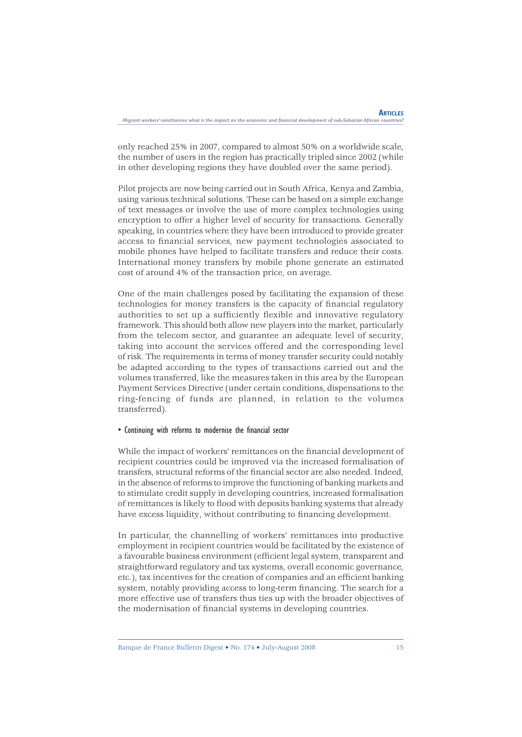only reached 25% in 2007, compared to almost 50% on a worldwide scale, the number of users in the region has practically tripled since 2002 (while in other developing regions they have doubled over the same period).

Pilot projects are now being carried out in South Africa, Kenya and Zambia, using various technical solutions. These can be based on a simple exchange of text messages or involve the use of more complex technologies using encryption to offer a higher level of security for transactions. Generally speaking, in countries where they have been introduced to provide greater access to financial services, new payment technologies associated to mobile phones have helped to facilitate transfers and reduce their costs. International money transfers by mobile phone generate an estimated cost of around 4% of the transaction price, on average.

One of the main challenges posed by facilitating the expansion of these technologies for money transfers is the capacity of financial regulatory authorities to set up a sufficiently flexible and innovative regulatory framework. This should both allow new players into the market, particularly from the telecom sector, and guarantee an adequate level of security, taking into account the services offered and the corresponding level of risk. The requirements in terms of money transfer security could notably be adapted according to the types of transactions carried out and the volumes transferred, like the measures taken in this area by the European Payment Services Directive (under certain conditions, dispensations to the ring-fencing of funds are planned, in relation to the volumes transferred).

#### • Continuing with reforms to modernise the financial sector

While the impact of workers' remittances on the financial development of recipient countries could be improved via the increased formalisation of transfers, structural reforms of the financial sector are also needed. Indeed, in the absence of reforms to improve the functioning of banking markets and to stimulate credit supply in developing countries, increased formalisation of remittances is likely to flood with deposits banking systems that already have excess liquidity, without contributing to financing development.

In particular, the channelling of workers' remittances into productive employment in recipient countries would be facilitated by the existence of a favourable business environment (efficient legal system, transparent and straightforward regulatory and tax systems, overall economic governance, etc.), tax incentives for the creation of companies and an efficient banking system, notably providing access to long-term financing. The search for a more effective use of transfers thus ties up with the broader objectives of the modernisation of financial systems in developing countries.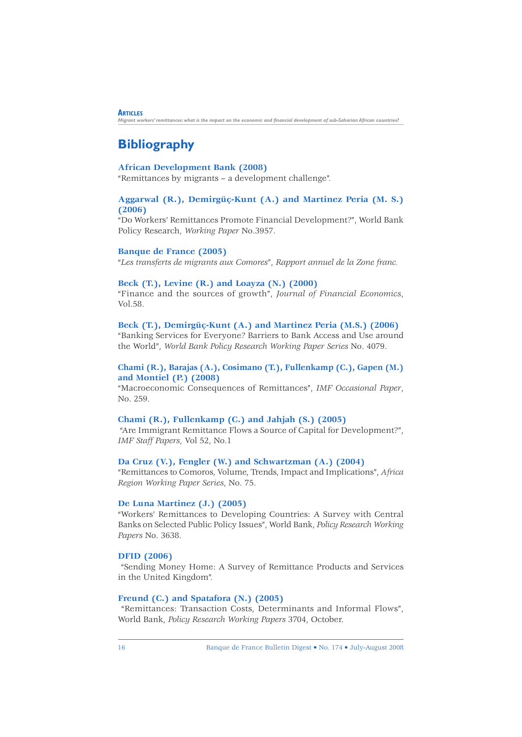*Migrant workers' remittances: what is the impact on the economic and financial development of sub-Saharian African countries?* 

# **Bibliography**

**ARTICLES** 

## **African Development Bank (2008)**

"Remittances by migrants – a development challenge".

### **Aggarwal (R.), Demirgüç-Kunt (A.) and Martinez Peria (M. S.) (2006)**

"Do Workers' Remittances Promote Financial Development?", World Bank Policy Research, *Working Paper* No.3957.

#### **Banque de France (2005)**

"*Les transferts de migrants aux Comores*", *Rapport annuel de la Zone franc.*

#### **Beck (T.), Levine (R.) and Loayza (N.) (2000)**

"Finance and the sources of growth", *Journal of Financial Economics*, Vol.58.

#### **Beck (T.), Demirgüç-Kunt (A.) and Martinez Peria (M.S.) (2006)**

"Banking Services for Everyone? Barriers to Bank Access and Use around the World", *World Bank Policy Research Working Paper Series* No. 4079.

#### **Chami (R.), Barajas (A.), Cosimano (T.), Fullenkamp (C.), Gapen (M.) and Montiel (P.) (2008)**

"Macroeconomic Consequences of Remittances", *IMF Occasional Paper*, No. 259.

#### **Chami (R.), Fullenkamp (C.) and Jahjah (S.) (2005)**

 "Are Immigrant Remittance Flows a Source of Capital for Development?", *IMF Staff Papers*, Vol 52, No.1

#### **Da Cruz (V.), Fengler (W.) and Schwartzman (A.) (2004)**

"Remittances to Comoros, Volume, Trends, Impact and Implications", *Africa Region Working Paper Series*, No. 75.

#### **De Luna Martinez (J.) (2005)**

"Workers' Remittances to Developing Countries: A Survey with Central Banks on Selected Public Policy Issues", World Bank, *Policy Research Working Papers* No. 3638.

#### **DFID (2006)**

 "Sending Money Home: A Survey of Remittance Products and Services in the United Kingdom".

#### **Freund (C.) and Spatafora (N.) (2005)**

 "Remittances: Transaction Costs, Determinants and Informal Flows", World Bank, *Policy Research Working Papers* 3704, October.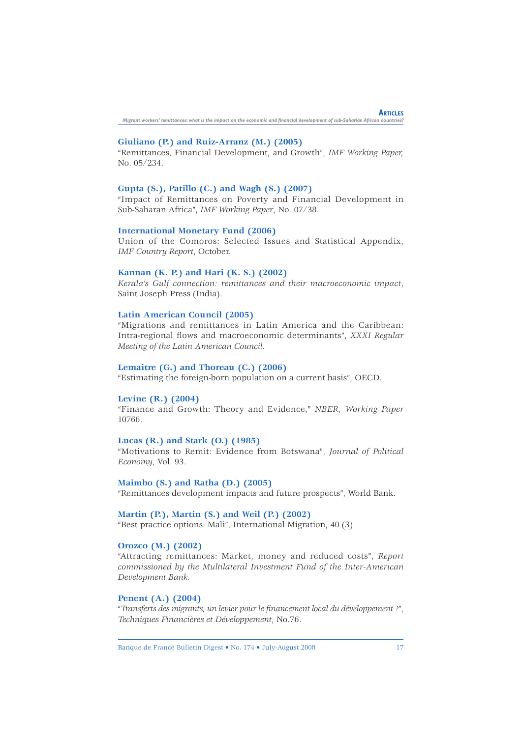**ARTICLES** *Migrant workers' remittances: what is the impact on the economic and fi nancial development of sub-Saharian African countries?*

#### **Giuliano (P.) and Ruiz-Arranz (M.) (2005)**

"Remittances, Financial Development, and Growth", *IMF Working Paper,* No. 05/234.

#### **Gupta (S.), Patillo (C.) and Wagh (S.) (2007)**

"Impact of Remittances on Poverty and Financial Development in Sub-Saharan Africa", *IMF Working Paper*, No. 07/38.

#### **International Monetary Fund (2006)**

Union of the Comoros: Selected Issues and Statistical Appendix, *IMF Country Report*, October.

#### **Kannan (K. P.) and Hari (K. S.) (2002)**

*Kerala's Gulf connection: remittances and their macroeconomic impact*, Saint Joseph Press (India).

#### **Latin American Council (2005)**

"Migrations and remittances in Latin America and the Caribbean: Intra-regional flows and macroeconomic determinants", *XXXI Regular Meeting of the Latin American Council.*

#### **Lemaitre (G.) and Thoreau (C.) (2006)**

"Estimating the foreign-born population on a current basis", OECD.

#### **Levine (R.) (2004)**

"Finance and Growth: Theory and Evidence," *NBER, Working Paper* 10766.

#### **Lucas (R.) and Stark (O.) (1985)**

"Motivations to Remit: Evidence from Botswana", *Journal of Political Economy*, Vol. 93.

#### **Maimbo (S.) and Ratha (D.) (2005)**

"Remittances development impacts and future prospects", World Bank.

#### **Martin (P.), Martin (S.) and Weil (P.) (2002)**

"Best practice options: Mali", International Migration, 40 (3)

#### **Orozco (M.) (2002)**

"Attracting remittances: Market, money and reduced costs", *Report commissioned by the Multilateral Investment Fund of the Inter-American Development Bank.*

#### **Penent (A.) (2004)**

"*Transferts des migrants, un levier pour le fi nancement local du développement ?*", *Techniques Financières et Développement*, No.76.